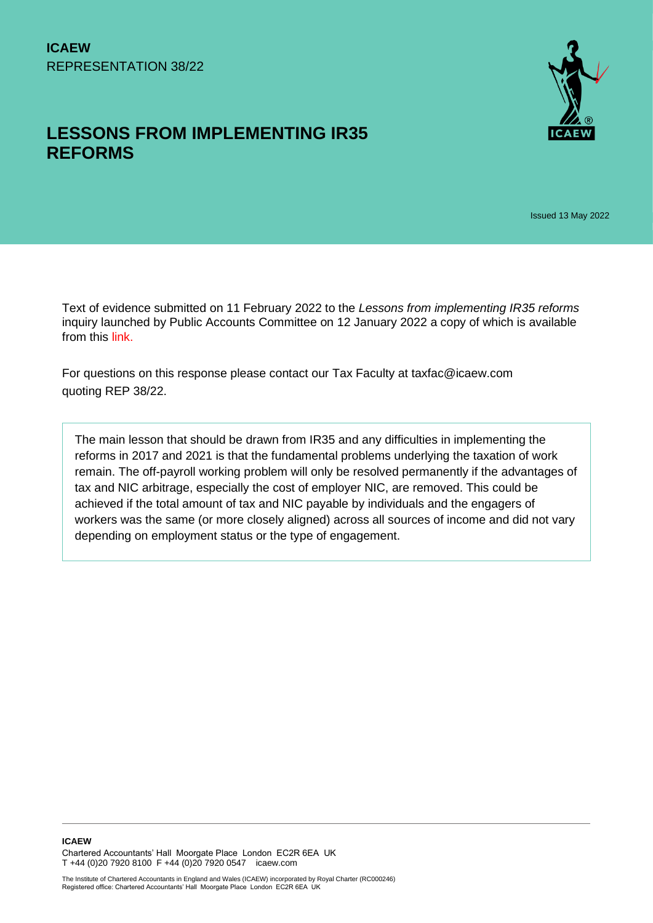# **LESSONS FROM IMPLEMENTING IR35 REFORMS**



Issued 13 May 2022

Text of evidence submitted on 11 February 2022 to the *Lessons from implementing IR35 reforms*  inquiry launched by Public Accounts Committee on 12 January 2022 a copy of which is available from this [link.](https://committees.parliament.uk/work/6430/lessons-from-implementing-ir35-reforms/)

For questions on this response please contact our Tax Faculty at taxfac@icaew.com quoting REP 38/22.

The main lesson that should be drawn from IR35 and any difficulties in implementing the reforms in 2017 and 2021 is that the fundamental problems underlying the taxation of work remain. The off-payroll working problem will only be resolved permanently if the advantages of tax and NIC arbitrage, especially the cost of employer NIC, are removed. This could be achieved if the total amount of tax and NIC payable by individuals and the engagers of workers was the same (or more closely aligned) across all sources of income and did not vary depending on employment status or the type of engagement.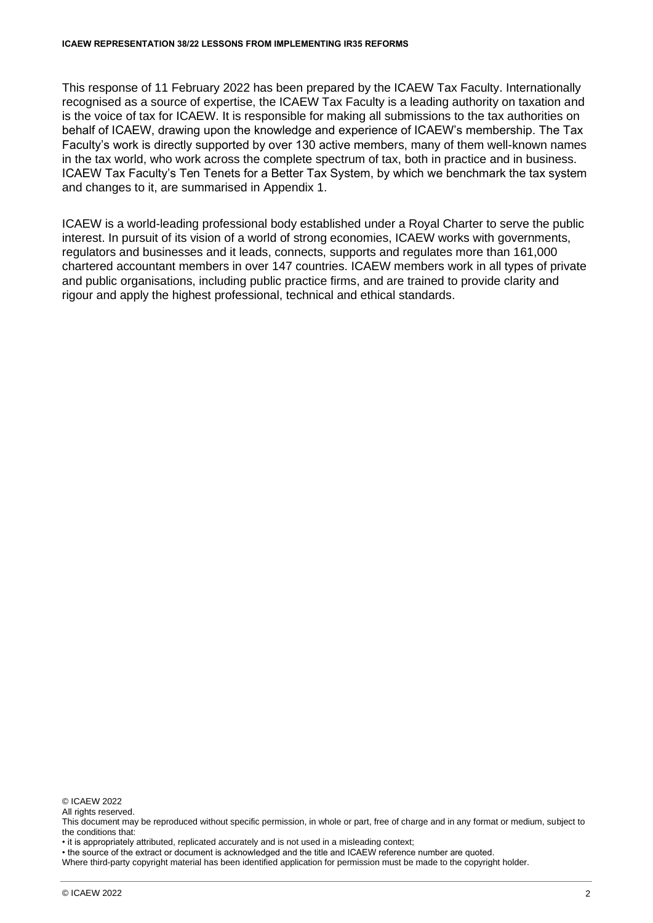This response of 11 February 2022 has been prepared by the ICAEW Tax Faculty. Internationally recognised as a source of expertise, the ICAEW Tax Faculty is a leading authority on taxation and is the voice of tax for ICAEW. It is responsible for making all submissions to the tax authorities on behalf of ICAEW, drawing upon the knowledge and experience of ICAEW's membership. The Tax Faculty's work is directly supported by over 130 active members, many of them well-known names in the tax world, who work across the complete spectrum of tax, both in practice and in business. ICAEW Tax Faculty's Ten Tenets for a Better Tax System, by which we benchmark the tax system and changes to it, are summarised in Appendix 1.

ICAEW is a world-leading professional body established under a Royal Charter to serve the public interest. In pursuit of its vision of a world of strong economies, ICAEW works with governments, regulators and businesses and it leads, connects, supports and regulates more than 161,000 chartered accountant members in over 147 countries. ICAEW members work in all types of private and public organisations, including public practice firms, and are trained to provide clarity and rigour and apply the highest professional, technical and ethical standards.

© ICAEW 2022

All rights reserved.

• it is appropriately attributed, replicated accurately and is not used in a misleading context;

• the source of the extract or document is acknowledged and the title and ICAEW reference number are quoted.

Where third-party copyright material has been identified application for permission must be made to the copyright holder.

This document may be reproduced without specific permission, in whole or part, free of charge and in any format or medium, subject to the conditions that: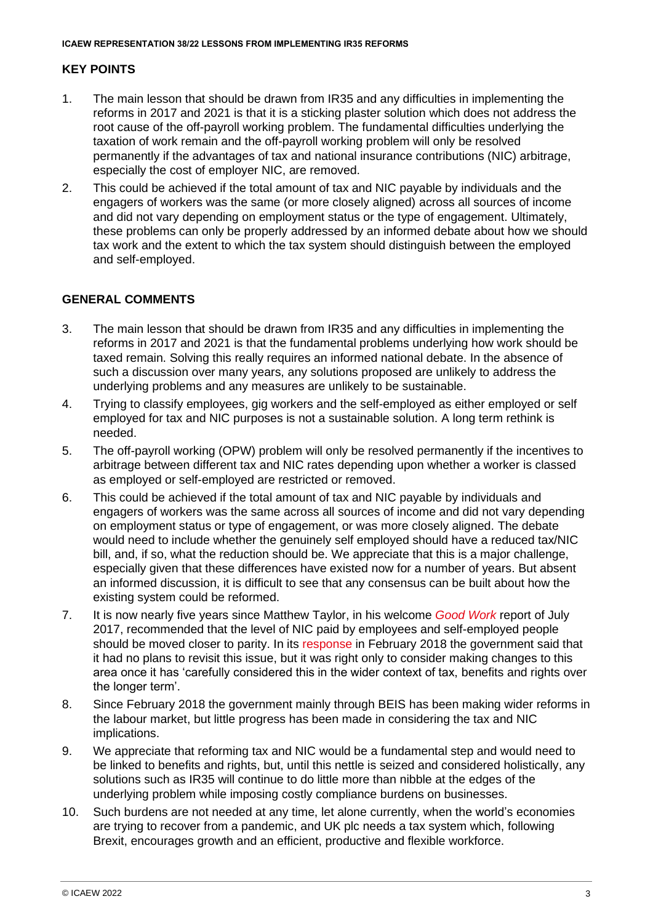# **KEY POINTS**

- 1. The main lesson that should be drawn from IR35 and any difficulties in implementing the reforms in 2017 and 2021 is that it is a sticking plaster solution which does not address the root cause of the off-payroll working problem. The fundamental difficulties underlying the taxation of work remain and the off-payroll working problem will only be resolved permanently if the advantages of tax and national insurance contributions (NIC) arbitrage, especially the cost of employer NIC, are removed.
- 2. This could be achieved if the total amount of tax and NIC payable by individuals and the engagers of workers was the same (or more closely aligned) across all sources of income and did not vary depending on employment status or the type of engagement. Ultimately, these problems can only be properly addressed by an informed debate about how we should tax work and the extent to which the tax system should distinguish between the employed and self-employed.

# **GENERAL COMMENTS**

- 3. The main lesson that should be drawn from IR35 and any difficulties in implementing the reforms in 2017 and 2021 is that the fundamental problems underlying how work should be taxed remain. Solving this really requires an informed national debate. In the absence of such a discussion over many years, any solutions proposed are unlikely to address the underlying problems and any measures are unlikely to be sustainable.
- 4. Trying to classify employees, gig workers and the self-employed as either employed or self employed for tax and NIC purposes is not a sustainable solution. A long term rethink is needed.
- 5. The off-payroll working (OPW) problem will only be resolved permanently if the incentives to arbitrage between different tax and NIC rates depending upon whether a worker is classed as employed or self-employed are restricted or removed.
- 6. This could be achieved if the total amount of tax and NIC payable by individuals and engagers of workers was the same across all sources of income and did not vary depending on employment status or type of engagement, or was more closely aligned. The debate would need to include whether the genuinely self employed should have a reduced tax/NIC bill, and, if so, what the reduction should be. We appreciate that this is a major challenge, especially given that these differences have existed now for a number of years. But absent an informed discussion, it is difficult to see that any consensus can be built about how the existing system could be reformed.
- 7. It is now nearly five years since Matthew Taylor, in his welcome *[Good Work](https://www.gov.uk/government/publications/good-work-the-taylor-review-of-modern-working-practices)* report of July 2017, recommended that the level of NIC paid by employees and self-employed people should be moved closer to parity. In its [response](https://www.gov.uk/government/publications/government-response-to-the-taylor-review-of-modern-working-practices) in February 2018 the government said that it had no plans to revisit this issue, but it was right only to consider making changes to this area once it has 'carefully considered this in the wider context of tax, benefits and rights over the longer term'.
- 8. Since February 2018 the government mainly through BEIS has been making wider reforms in the labour market, but little progress has been made in considering the tax and NIC implications.
- 9. We appreciate that reforming tax and NIC would be a fundamental step and would need to be linked to benefits and rights, but, until this nettle is seized and considered holistically, any solutions such as IR35 will continue to do little more than nibble at the edges of the underlying problem while imposing costly compliance burdens on businesses.
- 10. Such burdens are not needed at any time, let alone currently, when the world's economies are trying to recover from a pandemic, and UK plc needs a tax system which, following Brexit, encourages growth and an efficient, productive and flexible workforce.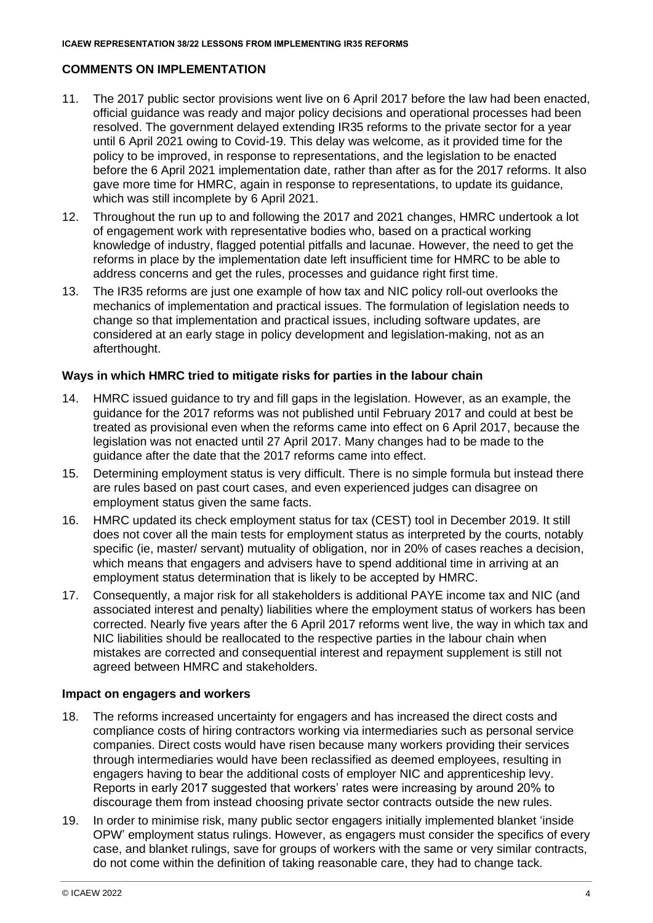# **COMMENTS ON IMPLEMENTATION**

- 11. The 2017 public sector provisions went live on 6 April 2017 before the law had been enacted, official guidance was ready and major policy decisions and operational processes had been resolved. The government delayed extending IR35 reforms to the private sector for a year until 6 April 2021 owing to Covid-19. This delay was welcome, as it provided time for the policy to be improved, in response to representations, and the legislation to be enacted before the 6 April 2021 implementation date, rather than after as for the 2017 reforms. It also gave more time for HMRC, again in response to representations, to update its guidance, which was still incomplete by 6 April 2021.
- 12. Throughout the run up to and following the 2017 and 2021 changes, HMRC undertook a lot of engagement work with representative bodies who, based on a practical working knowledge of industry, flagged potential pitfalls and lacunae. However, the need to get the reforms in place by the implementation date left insufficient time for HMRC to be able to address concerns and get the rules, processes and guidance right first time.
- 13. The IR35 reforms are just one example of how tax and NIC policy roll-out overlooks the mechanics of implementation and practical issues. The formulation of legislation needs to change so that implementation and practical issues, including software updates, are considered at an early stage in policy development and legislation-making, not as an afterthought.

### **Ways in which HMRC tried to mitigate risks for parties in the labour chain**

- 14. HMRC issued guidance to try and fill gaps in the legislation. However, as an example, the guidance for the 2017 reforms was not published until February 2017 and could at best be treated as provisional even when the reforms came into effect on 6 April 2017, because the legislation was not enacted until 27 April 2017. Many changes had to be made to the guidance after the date that the 2017 reforms came into effect.
- 15. Determining employment status is very difficult. There is no simple formula but instead there are rules based on past court cases, and even experienced judges can disagree on employment status given the same facts.
- 16. HMRC updated its check employment status for tax (CEST) tool in December 2019. It still does not cover all the main tests for employment status as interpreted by the courts, notably specific (ie, master/ servant) mutuality of obligation, nor in 20% of cases reaches a decision, which means that engagers and advisers have to spend additional time in arriving at an employment status determination that is likely to be accepted by HMRC.
- 17. Consequently, a major risk for all stakeholders is additional PAYE income tax and NIC (and associated interest and penalty) liabilities where the employment status of workers has been corrected. Nearly five years after the 6 April 2017 reforms went live, the way in which tax and NIC liabilities should be reallocated to the respective parties in the labour chain when mistakes are corrected and consequential interest and repayment supplement is still not agreed between HMRC and stakeholders.

### **Impact on engagers and workers**

- 18. The reforms increased uncertainty for engagers and has increased the direct costs and compliance costs of hiring contractors working via intermediaries such as personal service companies. Direct costs would have risen because many workers providing their services through intermediaries would have been reclassified as deemed employees, resulting in engagers having to bear the additional costs of employer NIC and apprenticeship levy. Reports in early 2017 suggested that workers' rates were increasing by around 20% to discourage them from instead choosing private sector contracts outside the new rules.
- 19. In order to minimise risk, many public sector engagers initially implemented blanket 'inside OPW' employment status rulings. However, as engagers must consider the specifics of every case, and blanket rulings, save for groups of workers with the same or very similar contracts, do not come within the definition of taking reasonable care, they had to change tack.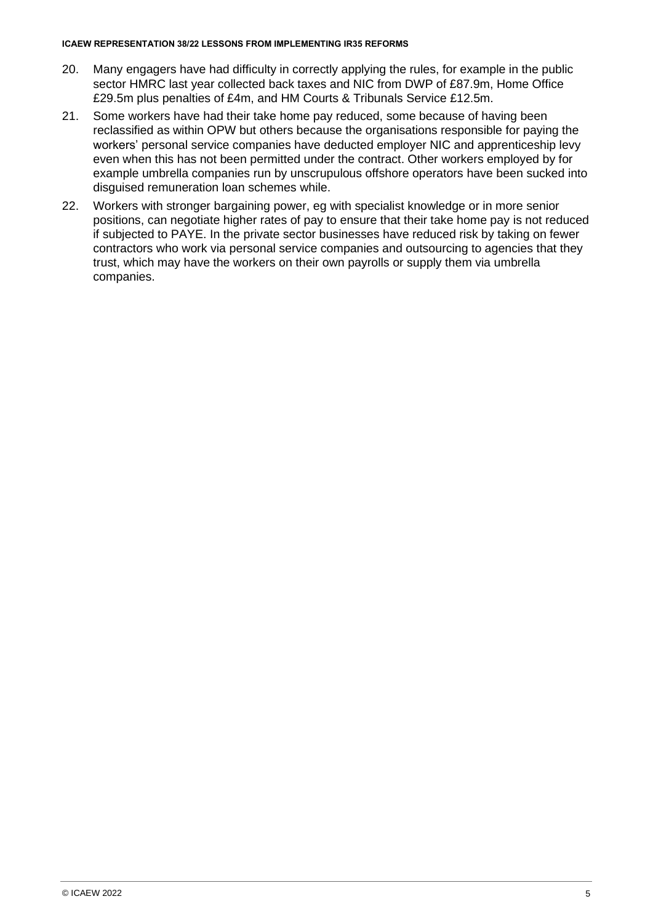#### **ICAEW REPRESENTATION 38/22 LESSONS FROM IMPLEMENTING IR35 REFORMS**

- 20. Many engagers have had difficulty in correctly applying the rules, for example in the public sector HMRC last year collected back taxes and NIC from DWP of £87.9m, Home Office £29.5m plus penalties of £4m, and HM Courts & Tribunals Service £12.5m.
- 21. Some workers have had their take home pay reduced, some because of having been reclassified as within OPW but others because the organisations responsible for paying the workers' personal service companies have deducted employer NIC and apprenticeship levy even when this has not been permitted under the contract. Other workers employed by for example umbrella companies run by unscrupulous offshore operators have been sucked into disguised remuneration loan schemes while.
- 22. Workers with stronger bargaining power, eg with specialist knowledge or in more senior positions, can negotiate higher rates of pay to ensure that their take home pay is not reduced if subjected to PAYE. In the private sector businesses have reduced risk by taking on fewer contractors who work via personal service companies and outsourcing to agencies that they trust, which may have the workers on their own payrolls or supply them via umbrella companies.